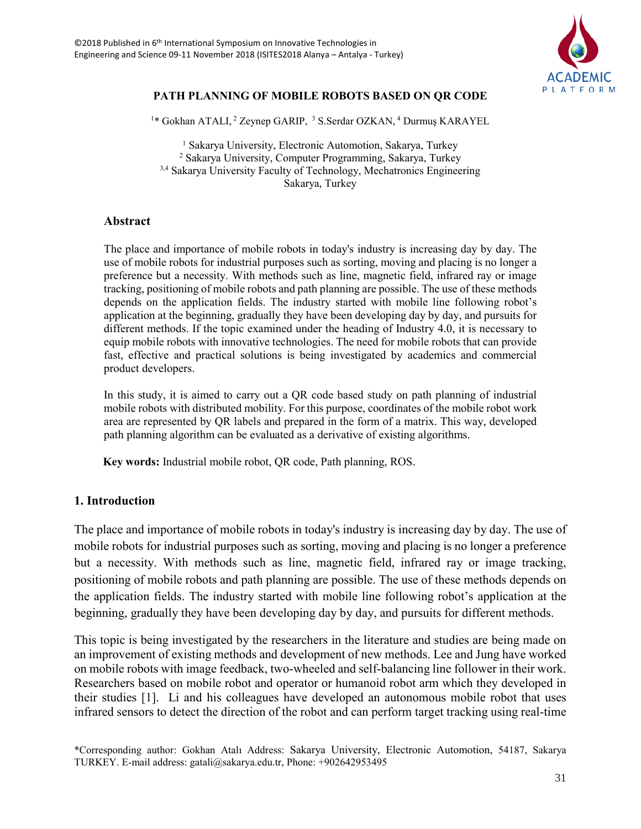

# **PATH PLANNING OF MOBILE ROBOTS BASED ON QR CODE**

<sup>1\*</sup> Gokhan ATALI, <sup>2</sup> Zeynep GARIP, <sup>3</sup> S.Serdar OZKAN, <sup>4</sup> Durmuş KARAYEL

<sup>1</sup> Sakarya University, Electronic Automotion, Sakarya, Turkey 2 Sakarya University, Computer Programming, Sakarya, Turkey <sup>3,4</sup> Sakarya University Faculty of Technology, Mechatronics Engineering Sakarya, Turkey

## **Abstract**

The place and importance of mobile robots in today's industry is increasing day by day. The use of mobile robots for industrial purposes such as sorting, moving and placing is no longer a preference but a necessity. With methods such as line, magnetic field, infrared ray or image tracking, positioning of mobile robots and path planning are possible. The use of these methods depends on the application fields. The industry started with mobile line following robot's application at the beginning, gradually they have been developing day by day, and pursuits for different methods. If the topic examined under the heading of Industry 4.0, it is necessary to equip mobile robots with innovative technologies. The need for mobile robots that can provide fast, effective and practical solutions is being investigated by academics and commercial product developers.

In this study, it is aimed to carry out a QR code based study on path planning of industrial mobile robots with distributed mobility. For this purpose, coordinates of the mobile robot work area are represented by QR labels and prepared in the form of a matrix. This way, developed path planning algorithm can be evaluated as a derivative of existing algorithms.

 **Key words:** Industrial mobile robot, QR code, Path planning, ROS.

## **1. Introduction**

The place and importance of mobile robots in today's industry is increasing day by day. The use of mobile robots for industrial purposes such as sorting, moving and placing is no longer a preference but a necessity. With methods such as line, magnetic field, infrared ray or image tracking, positioning of mobile robots and path planning are possible. The use of these methods depends on the application fields. The industry started with mobile line following robot's application at the beginning, gradually they have been developing day by day, and pursuits for different methods.

This topic is being investigated by the researchers in the literature and studies are being made on an improvement of existing methods and development of new methods. Lee and Jung have worked on mobile robots with image feedback, two-wheeled and self-balancing line follower in their work. Researchers based on mobile robot and operator or humanoid robot arm which they developed in their studies [1]. Li and his colleagues have developed an autonomous mobile robot that uses infrared sensors to detect the direction of the robot and can perform target tracking using real-time

<sup>\*</sup>Corresponding author: Gokhan Atalı Address: Sakarya University, Electronic Automotion, 54187, Sakarya TURKEY. E-mail address: gatali@sakarya.edu.tr, Phone: +902642953495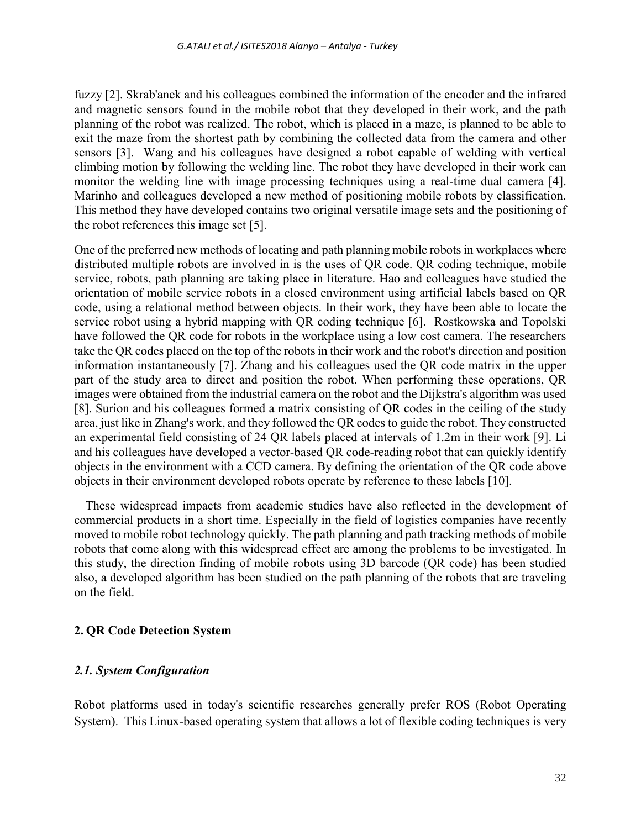fuzzy [2]. Skrab'anek and his colleagues combined the information of the encoder and the infrared and magnetic sensors found in the mobile robot that they developed in their work, and the path planning of the robot was realized. The robot, which is placed in a maze, is planned to be able to exit the maze from the shortest path by combining the collected data from the camera and other sensors [3]. Wang and his colleagues have designed a robot capable of welding with vertical climbing motion by following the welding line. The robot they have developed in their work can monitor the welding line with image processing techniques using a real-time dual camera [4]. Marinho and colleagues developed a new method of positioning mobile robots by classification. This method they have developed contains two original versatile image sets and the positioning of the robot references this image set [5].

One of the preferred new methods of locating and path planning mobile robots in workplaces where distributed multiple robots are involved in is the uses of QR code. QR coding technique, mobile service, robots, path planning are taking place in literature. Hao and colleagues have studied the orientation of mobile service robots in a closed environment using artificial labels based on QR code, using a relational method between objects. In their work, they have been able to locate the service robot using a hybrid mapping with QR coding technique [6]. Rostkowska and Topolski have followed the QR code for robots in the workplace using a low cost camera. The researchers take the QR codes placed on the top of the robots in their work and the robot's direction and position information instantaneously [7]. Zhang and his colleagues used the QR code matrix in the upper part of the study area to direct and position the robot. When performing these operations, QR images were obtained from the industrial camera on the robot and the Dijkstra's algorithm was used [8]. Surion and his colleagues formed a matrix consisting of QR codes in the ceiling of the study area, just like in Zhang's work, and they followed the QR codes to guide the robot. They constructed an experimental field consisting of 24 QR labels placed at intervals of 1.2m in their work [9]. Li and his colleagues have developed a vector-based QR code-reading robot that can quickly identify objects in the environment with a CCD camera. By defining the orientation of the QR code above objects in their environment developed robots operate by reference to these labels [10].

These widespread impacts from academic studies have also reflected in the development of commercial products in a short time. Especially in the field of logistics companies have recently moved to mobile robot technology quickly. The path planning and path tracking methods of mobile robots that come along with this widespread effect are among the problems to be investigated. In this study, the direction finding of mobile robots using 3D barcode (QR code) has been studied also, a developed algorithm has been studied on the path planning of the robots that are traveling on the field.

## **2. QR Code Detection System**

### *2.1. System Configuration*

Robot platforms used in today's scientific researches generally prefer ROS (Robot Operating System). This Linux-based operating system that allows a lot of flexible coding techniques is very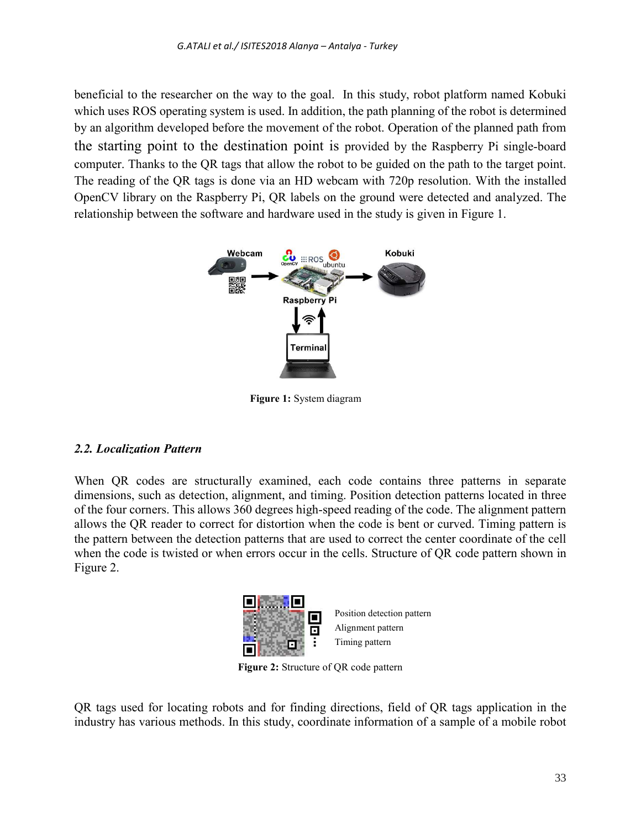beneficial to the researcher on the way to the goal. In this study, robot platform named Kobuki which uses ROS operating system is used. In addition, the path planning of the robot is determined by an algorithm developed before the movement of the robot. Operation of the planned path from the starting point to the destination point is provided by the Raspberry Pi single-board computer. Thanks to the QR tags that allow the robot to be guided on the path to the target point. The reading of the QR tags is done via an HD webcam with 720p resolution. With the installed OpenCV library on the Raspberry Pi, QR labels on the ground were detected and analyzed. The relationship between the software and hardware used in the study is given in Figure 1.



 **Figure 1:** System diagram

# *2.2. Localization Pattern*

When QR codes are structurally examined, each code contains three patterns in separate dimensions, such as detection, alignment, and timing. Position detection patterns located in three of the four corners. This allows 360 degrees high-speed reading of the code. The alignment pattern allows the QR reader to correct for distortion when the code is bent or curved. Timing pattern is the pattern between the detection patterns that are used to correct the center coordinate of the cell when the code is twisted or when errors occur in the cells. Structure of QR code pattern shown in Figure 2.



**Figure 2:** Structure of QR code pattern

QR tags used for locating robots and for finding directions, field of QR tags application in the industry has various methods. In this study, coordinate information of a sample of a mobile robot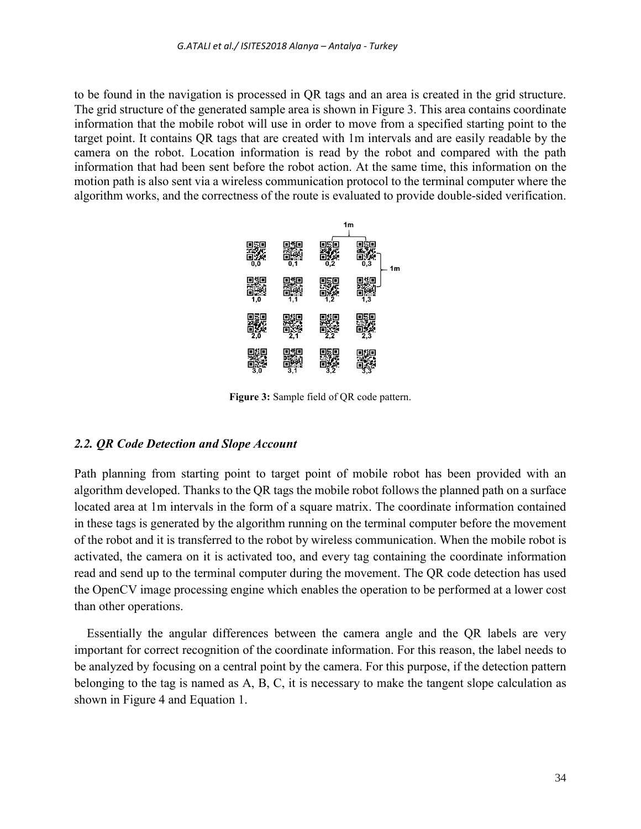to be found in the navigation is processed in QR tags and an area is created in the grid structure. The grid structure of the generated sample area is shown in Figure 3. This area contains coordinate information that the mobile robot will use in order to move from a specified starting point to the target point. It contains QR tags that are created with 1m intervals and are easily readable by the camera on the robot. Location information is read by the robot and compared with the path information that had been sent before the robot action. At the same time, this information on the motion path is also sent via a wireless communication protocol to the terminal computer where the algorithm works, and the correctness of the route is evaluated to provide double-sided verification.



**Figure 3:** Sample field of QR code pattern.

### *2.2. QR Code Detection and Slope Account*

Path planning from starting point to target point of mobile robot has been provided with an algorithm developed. Thanks to the QR tags the mobile robot follows the planned path on a surface located area at 1m intervals in the form of a square matrix. The coordinate information contained in these tags is generated by the algorithm running on the terminal computer before the movement of the robot and it is transferred to the robot by wireless communication. When the mobile robot is activated, the camera on it is activated too, and every tag containing the coordinate information read and send up to the terminal computer during the movement. The QR code detection has used the OpenCV image processing engine which enables the operation to be performed at a lower cost than other operations.

 Essentially the angular differences between the camera angle and the QR labels are very important for correct recognition of the coordinate information. For this reason, the label needs to be analyzed by focusing on a central point by the camera. For this purpose, if the detection pattern belonging to the tag is named as A, B, C, it is necessary to make the tangent slope calculation as shown in Figure 4 and Equation 1.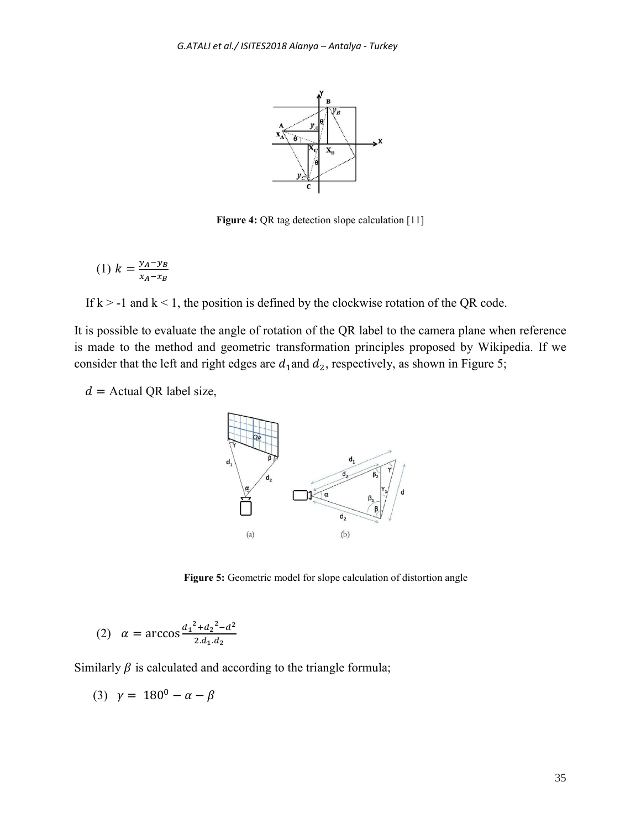

**Figure 4:** QR tag detection slope calculation [11]

$$
(1) \ k = \frac{y_A - y_B}{x_A - x_B}
$$

If  $k > -1$  and  $k < 1$ , the position is defined by the clockwise rotation of the QR code.

It is possible to evaluate the angle of rotation of the QR label to the camera plane when reference is made to the method and geometric transformation principles proposed by Wikipedia. If we consider that the left and right edges are  $d_1$  and  $d_2$ , respectively, as shown in Figure 5;

 $d =$  Actual QR label size,



Figure 5: Geometric model for slope calculation of distortion angle

(2) 
$$
\alpha = \arccos \frac{d_1^2 + d_2^2 - d^2}{2 \cdot d_1 \cdot d_2}
$$

Similarly  $\beta$  is calculated and according to the triangle formula;

$$
(3) \ \gamma = 180^0 - \alpha - \beta
$$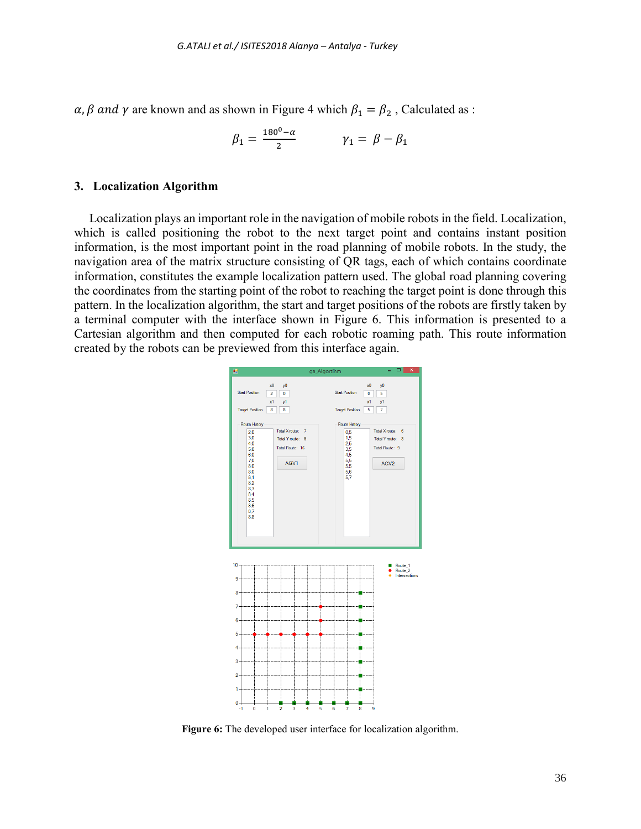$\alpha$ ,  $\beta$  and  $\gamma$  are known and as shown in Figure 4 which  $\beta_1 = \beta_2$ , Calculated as :

$$
\beta_1 = \frac{180^0 - \alpha}{2} \qquad \qquad \gamma_1 = \beta - \beta_1
$$

#### **3. Localization Algorithm**

Localization plays an important role in the navigation of mobile robots in the field. Localization, which is called positioning the robot to the next target point and contains instant position information, is the most important point in the road planning of mobile robots. In the study, the navigation area of the matrix structure consisting of QR tags, each of which contains coordinate information, constitutes the example localization pattern used. The global road planning covering the coordinates from the starting point of the robot to reaching the target point is done through this pattern. In the localization algorithm, the start and target positions of the robots are firstly taken by a terminal computer with the interface shown in Figure 6. This information is presented to a Cartesian algorithm and then computed for each robotic roaming path. This route information created by the robots can be previewed from this interface again.



**Figure 6:** The developed user interface for localization algorithm.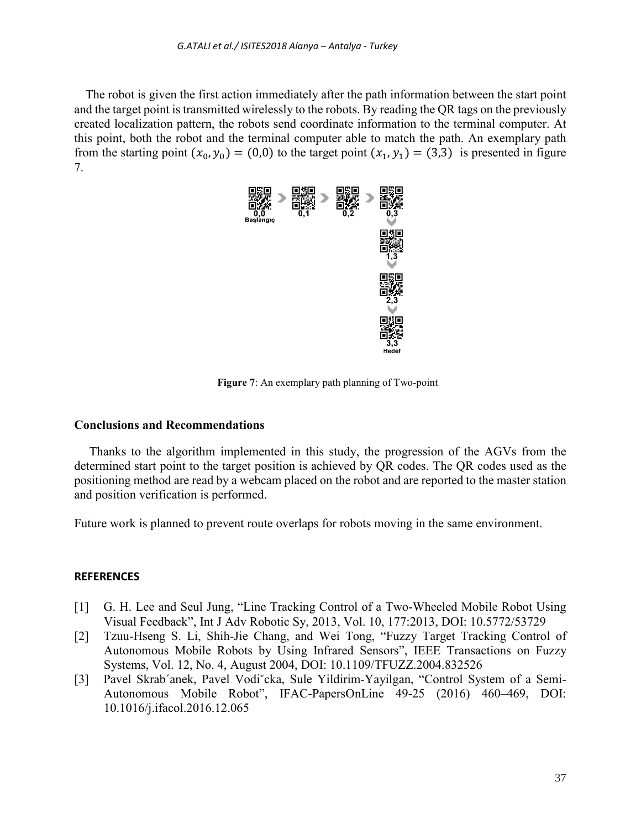The robot is given the first action immediately after the path information between the start point and the target point is transmitted wirelessly to the robots. By reading the QR tags on the previously created localization pattern, the robots send coordinate information to the terminal computer. At this point, both the robot and the terminal computer able to match the path. An exemplary path from the starting point  $(x_0, y_0) = (0,0)$  to the target point  $(x_1, y_1) = (3,3)$  is presented in figure 7.



**Figure 7**: An exemplary path planning of Two-point

### **Conclusions and Recommendations**

Thanks to the algorithm implemented in this study, the progression of the AGVs from the determined start point to the target position is achieved by QR codes. The QR codes used as the positioning method are read by a webcam placed on the robot and are reported to the master station and position verification is performed.

Future work is planned to prevent route overlaps for robots moving in the same environment.

#### **REFERENCES**

- [1] G. H. Lee and Seul Jung, "Line Tracking Control of a Two-Wheeled Mobile Robot Using Visual Feedback", Int J Adv Robotic Sy, 2013, Vol. 10, 177:2013, DOI: 10.5772/53729
- [2] Tzuu-Hseng S. Li, Shih-Jie Chang, and Wei Tong, "Fuzzy Target Tracking Control of Autonomous Mobile Robots by Using Infrared Sensors", IEEE Transactions on Fuzzy Systems, Vol. 12, No. 4, August 2004, DOI: 10.1109/TFUZZ.2004.832526
- [3] Pavel Skrab´anek, Pavel Vodiˇcka, Sule Yildirim-Yayilgan, "Control System of a Semi-Autonomous Mobile Robot", IFAC-PapersOnLine 49-25 (2016) 460–469, DOI: 10.1016/j.ifacol.2016.12.065